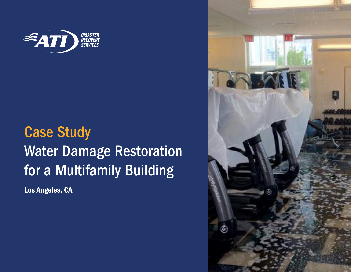

## Case Study Water Damage Restoration for a Multifamily Building

Los Angeles, CA

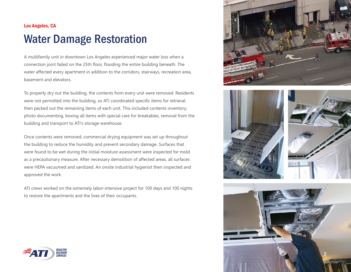## Los Angeles, CA Water Damage Restoration

A multifamily unit in downtown Los Angeles experienced major water loss when a connection joint failed on the 25th floor, flooding the entire building beneath. The water affected every apartment in addition to the corridors, stairways, recreation area, basement and elevators.

To properly dry out the building, the contents from every unit were removed. Residents were not permitted into the building, so ATI coordinated specific items for retrieval then packed out the remaining items of each unit. This included contents inventory, photo documenting, boxing all items with special care for breakables, removal from the building and transport to ATI's storage warehouse.

Once contents were removed, commercial drying equipment was set up throughout the building to reduce the humidity and prevent secondary damage. Surfaces that were found to be wet during the initial moisture assessment were inspected for mold as a precautionary measure. After necessary demolition of affected areas, all surfaces were HEPA vacuumed and sanitized. An onsite industrial hygienist then inspected and approved the work.

ATI crews worked on the extremely labor-intensive project for 100 days and 100 nights to restore the apartments and the lives of their occupants.